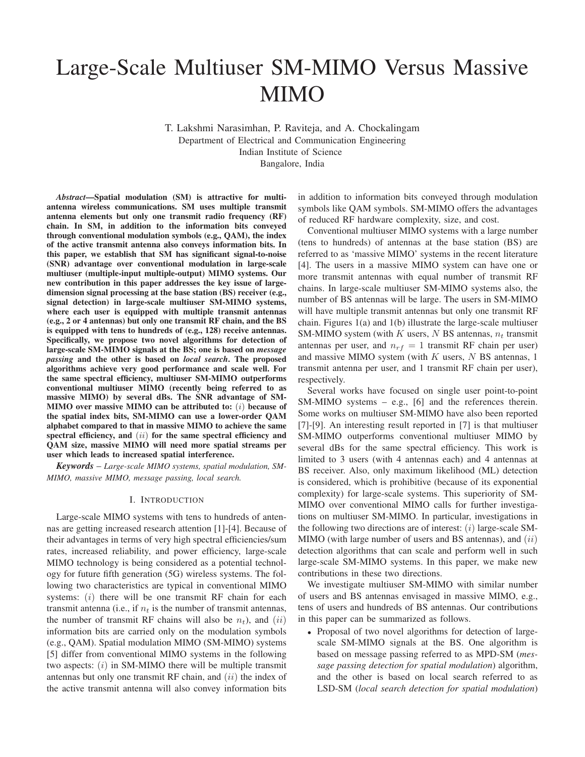# Large-Scale Multiuser SM-MIMO Versus Massive MIMO

T. Lakshmi Narasimhan, P. Raviteja, and A. Chockalingam Department of Electrical and Communication Engineering Indian Institute of Science Bangalore, India

*Abstract*—Spatial modulation (SM) is attractive for multiantenna wireless communications. SM uses multiple transmit antenna elements but only one transmit radio frequency (RF) chain. In SM, in addition to the information bits conveyed through conventional modulation symbols (e.g., QAM), the index of the active transmit antenna also conveys information bits. In this paper, we establish that SM has significant signal-to-noise (SNR) advantage over conventional modulation in large-scale multiuser (multiple-input multiple-output) MIMO systems. Our new contribution in this paper addresses the key issue of largedimension signal processing at the base station (BS) receiver (e.g., signal detection) in large-scale multiuser SM-MIMO systems, where each user is equipped with multiple transmit antennas (e.g., 2 or 4 antennas) but only one transmit RF chain, and the BS is equipped with tens to hundreds of (e.g., 128) receive antennas. Specifically, we propose two novel algorithms for detection of large-scale SM-MIMO signals at the BS; one is based on *message passing* and the other is based on *local search*. The proposed algorithms achieve very good performance and scale well. For the same spectral efficiency, multiuser SM-MIMO outperforms conventional multiuser MIMO (recently being referred to as massive MIMO) by several dBs. The SNR advantage of SM-MIMO over massive MIMO can be attributed to: (i) because of the spatial index bits, SM-MIMO can use a lower-order QAM alphabet compared to that in massive MIMO to achieve the same spectral efficiency, and  $(ii)$  for the same spectral efficiency and QAM size, massive MIMO will need more spatial streams per user which leads to increased spatial interference.

*Keywords* – *Large-scale MIMO systems, spatial modulation, SM-MIMO, massive MIMO, message passing, local search.*

#### I. INTRODUCTION

Large-scale MIMO systems with tens to hundreds of antennas are getting increased research attention [1]-[4]. Because of their advantages in terms of very high spectral efficiencies/sum rates, increased reliability, and power efficiency, large-scale MIMO technology is being considered as a potential technology for future fifth generation (5G) wireless systems. The following two characteristics are typical in conventional MIMO systems:  $(i)$  there will be one transmit RF chain for each transmit antenna (i.e., if  $n_t$  is the number of transmit antennas, the number of transmit RF chains will also be  $n_t$ ), and  $(ii)$ information bits are carried only on the modulation symbols (e.g., QAM). Spatial modulation MIMO (SM-MIMO) systems [5] differ from conventional MIMO systems in the following two aspects:  $(i)$  in SM-MIMO there will be multiple transmit antennas but only one transmit RF chain, and  $(ii)$  the index of the active transmit antenna will also convey information bits

in addition to information bits conveyed through modulation symbols like QAM symbols. SM-MIMO offers the advantages of reduced RF hardware complexity, size, and cost.

Conventional multiuser MIMO systems with a large number (tens to hundreds) of antennas at the base station (BS) are referred to as 'massive MIMO' systems in the recent literature [4]. The users in a massive MIMO system can have one or more transmit antennas with equal number of transmit RF chains. In large-scale multiuser SM-MIMO systems also, the number of BS antennas will be large. The users in SM-MIMO will have multiple transmit antennas but only one transmit RF chain. Figures 1(a) and 1(b) illustrate the large-scale multiuser SM-MIMO system (with  $K$  users,  $N$  BS antennas,  $n_t$  transmit antennas per user, and  $n_{rf} = 1$  transmit RF chain per user) and massive MIMO system (with  $K$  users,  $N$  BS antennas, 1 transmit antenna per user, and 1 transmit RF chain per user), respectively.

Several works have focused on single user point-to-point SM-MIMO systems – e.g., [6] and the references therein. Some works on multiuser SM-MIMO have also been reported [7]-[9]. An interesting result reported in [7] is that multiuser SM-MIMO outperforms conventional multiuser MIMO by several dBs for the same spectral efficiency. This work is limited to 3 users (with 4 antennas each) and 4 antennas at BS receiver. Also, only maximum likelihood (ML) detection is considered, which is prohibitive (because of its exponential complexity) for large-scale systems. This superiority of SM-MIMO over conventional MIMO calls for further investigations on multiuser SM-MIMO. In particular, investigations in the following two directions are of interest:  $(i)$  large-scale SM-MIMO (with large number of users and BS antennas), and  $(ii)$ detection algorithms that can scale and perform well in such large-scale SM-MIMO systems. In this paper, we make new contributions in these two directions.

We investigate multiuser SM-MIMO with similar number of users and BS antennas envisaged in massive MIMO, e.g., tens of users and hundreds of BS antennas. Our contributions in this paper can be summarized as follows.

• Proposal of two novel algorithms for detection of largescale SM-MIMO signals at the BS. One algorithm is based on message passing referred to as MPD-SM (*message passing detection for spatial modulation*) algorithm, and the other is based on local search referred to as LSD-SM (*local search detection for spatial modulation*)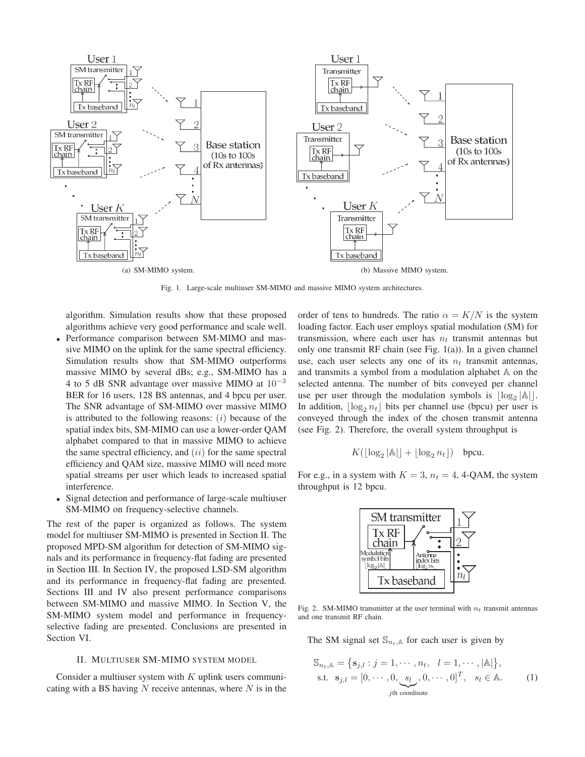

Fig. 1. Large-scale multiuser SM-MIMO and massive MIMO system architectures.

algorithm. Simulation results show that these proposed algorithms achieve very good performance and scale well.

- Performance comparison between SM-MIMO and massive MIMO on the uplink for the same spectral efficiency. Simulation results show that SM-MIMO outperforms massive MIMO by several dBs; e.g., SM-MIMO has a 4 to 5 dB SNR advantage over massive MIMO at  $10^{-3}$ BER for 16 users, 128 BS antennas, and 4 bpcu per user. The SNR advantage of SM-MIMO over massive MIMO is attributed to the following reasons:  $(i)$  because of the spatial index bits, SM-MIMO can use a lower-order QAM alphabet compared to that in massive MIMO to achieve the same spectral efficiency, and  $(ii)$  for the same spectral efficiency and QAM size, massive MIMO will need more spatial streams per user which leads to increased spatial interference.
- Signal detection and performance of large-scale multiuser SM-MIMO on frequency-selective channels.

The rest of the paper is organized as follows. The system model for multiuser SM-MIMO is presented in Section II. The proposed MPD-SM algorithm for detection of SM-MIMO signals and its performance in frequency-flat fading are presented in Section III. In Section IV, the proposed LSD-SM algorithm and its performance in frequency-flat fading are presented. Sections III and IV also present performance comparisons between SM-MIMO and massive MIMO. In Section V, the SM-MIMO system model and performance in frequencyselective fading are presented. Conclusions are presented in Section VI.

## II. MULTIUSER SM-MIMO SYSTEM MODEL

Consider a multiuser system with  $K$  uplink users communicating with a BS having  $N$  receive antennas, where  $N$  is in the

order of tens to hundreds. The ratio  $\alpha = K/N$  is the system loading factor. Each user employs spatial modulation (SM) for transmission, where each user has  $n_t$  transmit antennas but only one transmit RF chain (see Fig. 1(a)). In a given channel use, each user selects any one of its  $n_t$  transmit antennas, and transmits a symbol from a modulation alphabet A on the selected antenna. The number of bits conveyed per channel use per user through the modulation symbols is  $\lfloor \log_2 |\mathbb{A}| \rfloor$ .<br>In addition,  $\lfloor \log n \rfloor$  bits per channel use (bncu) per user is In addition,  $\lfloor \log_2 n_t \rfloor$  bits per channel use (bpcu) per user is<br>conveyed through the index of the chosen transmit antenna conveyed through the index of the chosen transmit antenna (see Fig. 2). Therefore, the overall system throughput is

$$
K(\lfloor \log_2 |A| \rfloor + \lfloor \log_2 n_t \rfloor) \quad \text{bpcu}.
$$

For e.g., in a system with  $K = 3$ ,  $n_t = 4$ , 4-QAM, the system throughput is 12 bpcu.



Fig. 2. SM-MIMO transmitter at the user terminal with  $n_t$  transmit antennas and one transmit RF chain.

The SM signal set  $\mathbb{S}_{n_t,\mathbb{A}}$  for each user is given by

$$
\mathbb{S}_{n_t, \mathbb{A}} = \{ \mathbf{s}_{j,l} : j = 1, \cdots, n_t, \quad l = 1, \cdots, |\mathbb{A}| \},
$$
  
s.t.  $\mathbf{s}_{j,l} = [0, \cdots, 0, \underbrace{s_l}_{j\text{th coordinate}}, 0, \cdots, 0]^T, \quad s_l \in \mathbb{A}.$  (1)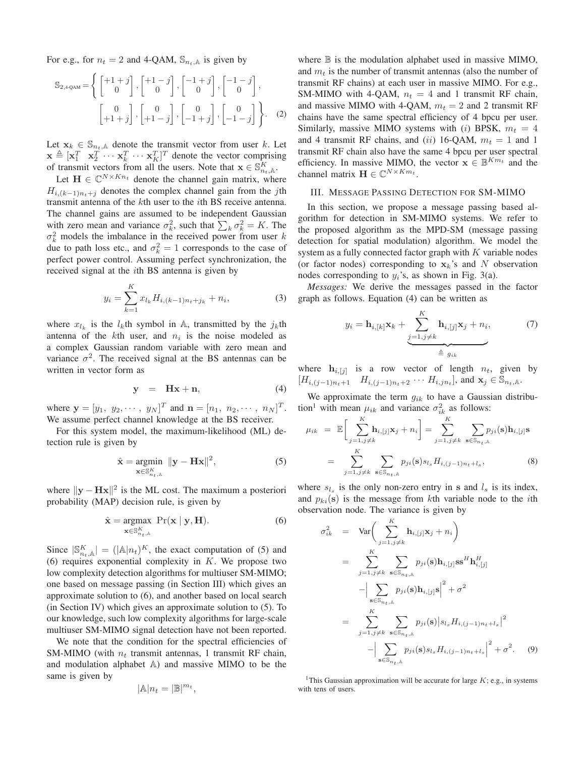For e.g., for  $n_t = 2$  and 4-QAM,  $\mathbb{S}_{n_t,\mathbb{A}}$  is given by

$$
\mathbb{S}_{2,4\text{-QAM}} = \left\{ \begin{bmatrix} +1+j \\ 0 \end{bmatrix}, \begin{bmatrix} +1-j \\ 0 \end{bmatrix}, \begin{bmatrix} -1+j \\ 0 \end{bmatrix}, \begin{bmatrix} -1-j \\ 0 \end{bmatrix}, \begin{bmatrix} -1-j \\ 0 \end{bmatrix}, \begin{bmatrix} 0 \\ +1+j \end{bmatrix}, \begin{bmatrix} 0 \\ +1-j \end{bmatrix}, \begin{bmatrix} 0 \\ -1+j \end{bmatrix}, \begin{bmatrix} 0 \\ -1-j \end{bmatrix} \right\}.
$$
 (2)

Let  $\mathbf{x}_k \in \mathbb{S}_{n_t,\mathbb{A}}$  denote the transmit vector from user k. Let  $\mathbf{x} \triangleq [\mathbf{x}_1^T \quad \mathbf{x}_2^T \cdots \mathbf{x}_K^T \cdots \mathbf{x}_K^T]^T$  denote the vector comprising<br>of transmit vectors from all the users. Note that  $\mathbf{x} \in \mathbb{S}^K$ of transmit vectors from all the users. Note that  $\mathbf{x} \in \mathbb{S}_{n_t,A}^K$ .<br>Let  $\mathbf{H} \in \mathbb{C}^{N \times Kn_t}$  denote the channel gain matrix, where

Let  $\mathbf{H} \in \mathbb{C}^{N \times Kn_t}$  denote the channel gain matrix, where  $H_{i,(k-1)n_{i}+j}$  denotes the complex channel gain from the jth transmit antenna of the kth user to the ith BS receive antenna. The channel gains are assumed to be independent Gaussian with zero mean and variance  $\sigma_k^2$ , such that  $\sum_k \sigma_k^2 = K$ . The  $\sigma_k^2$  models the imbalance in the received power from user k  $\sigma_k^2$  models the imbalance in the received power from user k<br>due to path loss etc. and  $\sigma^2 = 1$  corresponds to the case of due to path loss etc., and  $\sigma_k^2 = 1$  corresponds to the case of perfect power control. Assuming perfect synchronization, the perfect power control. Assuming perfect synchronization, the received signal at the ith BS antenna is given by

$$
y_i = \sum_{k=1}^{K} x_{l_k} H_{i,(k-1)n_t + j_k} + n_i,
$$
 (3)

where  $x_{l_k}$  is the  $l_k$ th symbol in A, transmitted by the  $j_k$ th antenna of the kth user, and  $n_i$  is the noise modeled as a complex Gaussian random variable with zero mean and variance  $\sigma^2$ . The received signal at the BS antennas can be written in vector form as

$$
y = Hx + n, \qquad (4)
$$

where  $\mathbf{y} = [y_1, y_2, \cdots, y_N]^T$  and  $\mathbf{n} = [n_1, n_2, \cdots, n_N]^T$ .<br>We assume perfect channel knowledge at the BS receiver. We assume perfect channel knowledge at the BS receiver.

For this system model, the maximum-likelihood (ML) detection rule is given by

$$
\hat{\mathbf{x}} = \underset{\mathbf{x} \in \mathbb{S}_{n_t,\mathbb{A}}^K}{\text{argmin}} \ \|\mathbf{y} - \mathbf{H}\mathbf{x}\|^2, \tag{5}
$$

where  $\|\mathbf{v} - \mathbf{Hx}\|^2$  is the ML cost. The maximum a posteriori probability (MAP) decision rule, is given by

$$
\hat{\mathbf{x}} = \underset{\mathbf{x} \in \mathbb{S}_{n_t,\mathbb{A}}^K}{\text{argmax}} \ \Pr(\mathbf{x} \mid \mathbf{y}, \mathbf{H}). \tag{6}
$$

Since  $|\mathbb{S}_{n_t,\mathbb{A}}^K| = (|\mathbb{A}|n_t)^K$ , the exact computation of (5) and (6) requires exponential complexity in K. We propose two (6) requires exponential complexity in  $K$ . We propose two low complexity detection algorithms for multiuser SM-MIMO; one based on message passing (in Section III) which gives an approximate solution to (6), and another based on local search (in Section IV) which gives an approximate solution to (5). To our knowledge, such low complexity algorithms for large-scale multiuser SM-MIMO signal detection have not been reported.

We note that the condition for the spectral efficiencies of SM-MIMO (with  $n_t$  transmit antennas, 1 transmit RF chain, and modulation alphabet A) and massive MIMO to be the same is given by

$$
|\mathbb{A}|n_t=|\mathbb{B}|^{m_t},
$$

where  $\mathbb B$  is the modulation alphabet used in massive MIMO, and  $m_t$  is the number of transmit antennas (also the number of transmit RF chains) at each user in massive MIMO. For e.g., SM-MIMO with 4-QAM,  $n_t = 4$  and 1 transmit RF chain, and massive MIMO with 4-QAM,  $m_t = 2$  and 2 transmit RF chains have the same spectral efficiency of 4 bpcu per user. Similarly, massive MIMO systems with (i) BPSK,  $m_t = 4$ and 4 transmit RF chains, and (ii) 16-QAM,  $m_t = 1$  and 1 transmit RF chain also have the same 4 bpcu per user spectral efficiency. In massive MIMO, the vector  $\mathbf{x} \in \mathbb{B}^{Km_t}$  and the channel matrix  $\mathbf{H} \in \mathbb{C}^{N \times Km_t}$ .

# III. MESSAGE PASSING DETECTION FOR SM-MIMO

In this section, we propose a message passing based algorithm for detection in SM-MIMO systems. We refer to the proposed algorithm as the MPD-SM (message passing detection for spatial modulation) algorithm. We model the system as a fully connected factor graph with  $K$  variable nodes (or factor nodes) corresponding to  $x_k$ 's and N observation nodes corresponding to  $y_i$ 's, as shown in Fig. 3(a).

*Messages:* We derive the messages passed in the factor graph as follows. Equation (4) can be written as

$$
y_i = \mathbf{h}_{i,[k]} \mathbf{x}_k + \underbrace{\sum_{j=1,j\neq k}^K \mathbf{h}_{i,[j]} \mathbf{x}_j + n_i}_{\triangleq g_{ik}},\tag{7}
$$

where  $\mathbf{h}_{i,[j]}$  is a row vector of length  $n_t$ , given by  $[H_{i,(j-1)n_t+1}$   $H_{i,(j-1)n_t+2}$   $\cdots$   $H_{i,jn_t}$ , and  $\mathbf{x}_j \in \mathbb{S}_{n_t,\mathbb{A}}$ .

We approximate the term  $g_{ik}$  to have a Gaussian distribution<sup>1</sup> with mean  $\mu_{ik}$  and variance  $\sigma_{ik}^2$  as follows:

$$
\mu_{ik} = \mathbb{E}\bigg[\sum_{j=1,j\neq k}^{K} \mathbf{h}_{i,[j]} \mathbf{x}_{j} + n_{i}\bigg] = \sum_{j=1,j\neq k}^{K} \sum_{\mathbf{s} \in \mathbb{S}_{n_{t},k}} p_{ji}(\mathbf{s}) \mathbf{h}_{i,[j]} \mathbf{s}
$$

$$
= \sum_{j=1,j\neq k}^{K} \sum_{\mathbf{s} \in \mathbb{S}_{n_{t},k}} p_{ji}(\mathbf{s}) s_{l_{s}} H_{i,(j-1)n_{t}+l_{s}}, \tag{8}
$$

where  $s_{l_s}$  is the only non-zero entry in **s** and  $l_s$  is its index, and  $p_{ki}(\mathbf{s})$  is the message from kth variable node to the *i*th observation node. The variance is given by

$$
\sigma_{ik}^{2} = \text{Var}\bigg(\sum_{j=1, j\neq k}^{K} \mathbf{h}_{i,[j]} \mathbf{x}_{j} + n_{i}\bigg)
$$
\n
$$
= \sum_{j=1, j\neq k}^{K} \sum_{\mathbf{s} \in \mathbb{S}_{n_{t},\mathbb{A}}} p_{ji}(\mathbf{s}) \mathbf{h}_{i,[j]} \mathbf{s} \mathbf{s}^{H} \mathbf{h}_{i,[j]}^{H}
$$
\n
$$
- \bigg|\sum_{\mathbf{s} \in \mathbb{S}_{n_{t},\mathbb{A}}} p_{ji}(\mathbf{s}) \mathbf{h}_{i,[j]} \mathbf{s} \bigg|^{2} + \sigma^{2}
$$
\n
$$
= \sum_{j=1, j\neq k}^{K} \sum_{\mathbf{s} \in \mathbb{S}_{n_{t},\mathbb{A}}} p_{ji}(\mathbf{s}) \big| s_{l_{s}} H_{i,(j-1)n_{t}+l_{s}} \big|^{2}
$$
\n
$$
- \big| \sum_{\mathbf{s} \in \mathbb{S}_{n_{t},\mathbb{A}}} p_{ji}(\mathbf{s}) s_{l_{s}} H_{i,(j-1)n_{t}+l_{s}} \big|^{2} + \sigma^{2}.
$$
\n(9)

<sup>1</sup>This Gaussian approximation will be accurate for large  $K$ ; e.g., in systems with tens of users.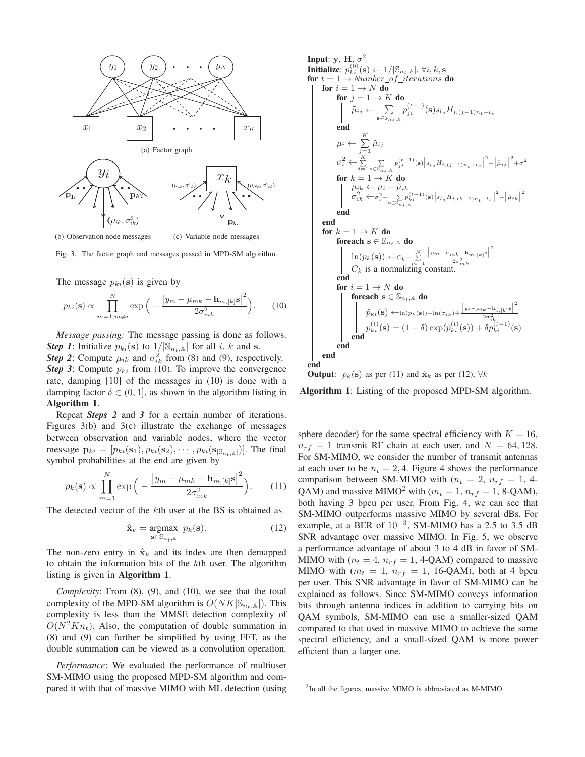

(b) Observation node messages (c) Variable node messages

Fig. 3. The factor graph and messages passed in MPD-SM algorithm.

The message  $p_{ki}(\mathbf{s})$  is given by

$$
p_{ki}(\mathbf{s}) \propto \prod_{m=1, m \neq i}^{N} \exp\left(-\frac{\left|y_m - \mu_{mk} - \mathbf{h}_{m,[k]} \mathbf{s}\right|^2}{2\sigma_{mk}^2}\right). \tag{10}
$$

*Message passing:* The message passing is done as follows. *Step 1*: Initialize  $p_{ki}(\mathbf{s})$  to  $1/|\mathbb{S}_{n_t,\mathbb{A}}|$  for all i, k and **s**. **Step 2:** Compute  $\mu_{ik}$  and  $\sigma_{ik}^2$  from (8) and (9), respectively.

*Step 3*: Compute  $p_{ki}$  from (10). To improve the convergence rate, damping [10] of the messages in (10) is done with a damping factor  $\delta \in (0, 1]$ , as shown in the algorithm listing in Algorithm 1.

Repeat *Steps 2* and *3* for a certain number of iterations. Figures 3(b) and 3(c) illustrate the exchange of messages between observation and variable nodes, where the vector message  $\mathbf{p}_{ki} = [p_{ki}(\mathbf{s}_1), p_{ki}(\mathbf{s}_2), \cdots, p_{ki}(\mathbf{s}_{|\mathcal{S}_{n_{t},A}|})].$  The final symbol probabilities at the end are given by

$$
p_k(\mathbf{s}) \propto \prod_{m=1}^N \exp\Big(-\frac{\left|y_m - \mu_{mk} - \mathbf{h}_{m,[k]}\mathbf{s}\right|^2}{2\sigma_{mk}^2}\Big). \tag{11}
$$

The detected vector of the kth user at the BS is obtained as

$$
\hat{\mathbf{x}}_k = \underset{\mathbf{s} \in \mathbb{S}_{n_t, \mathbb{A}}}{\text{argmax}} \ p_k(\mathbf{s}). \tag{12}
$$

The non-zero entry in  $\hat{\mathbf{x}}_k$  and its index are then demapped to obtain the information bits of the kth user. The algorithm listing is given in Algorithm 1.

*Complexity*: From (8), (9), and (10), we see that the total complexity of the MPD-SM algorithm is  $O(NK|\mathbb{S}_{n_t,\mathbb{A}}|)$ . This complexity is less than the MMSE detection complexity of  $O(N^2Kn_t)$ . Also, the computation of double summation in (8) and (9) can further be simplified by using FFT, as the double summation can be viewed as a convolution operation.

*Performance*: We evaluated the performance of multiuser SM-MIMO using the proposed MPD-SM algorithm and compared it with that of massive MIMO with ML detection (using

Input: y, H, 
$$
\sigma^2
$$
  
\n**Initialize:**  $p_{ki}^{(0)}(\mathbf{s}) \leftarrow 1/|\mathbb{S}_{n_t,\mathbb{A}}|, \forall i, k, \mathbf{s}$   
\nfor  $t = 1 \rightarrow Number_{of\_iterations} \mathbf{do}$   
\nfor  $i = 1 \rightarrow N \mathbf{ do}$   
\nfor  $j = 1 \rightarrow K \mathbf{ do}$   
\nfor  $j = 1 \rightarrow K \mathbf{ do}$   
\n $\tilde{\mu}_{ij} \leftarrow \sum_{\mathbf{s} \in \mathbb{S}_{n_t,\mathbb{A}}} p_{ji}^{(t-1)}(\mathbf{s}) s_{l_s} H_{i,(j-1)n_t+l_s}$   
\nend  
\n $\mu_i \leftarrow \sum_{j=1}^K \tilde{\mu}_{ij}$   
\n $\sigma_i^2 \leftarrow \sum_{j=1}^K \sum_{\mathbf{s} \in \mathbb{S}_{n_t,\mathbb{A}}} p_{ji}^{(t-1)}(\mathbf{s}) |s_{l_s} H_{i,(j-1)n_t+l_s}|^2 - |\tilde{\mu}_{ij}|^2 + \sigma^2$   
\nfor  $k = 1 \rightarrow K \mathbf{ do}$   
\n $\mu_{ik} \leftarrow \mu_i - \tilde{\mu}_{ik}$   
\n $\sigma_{ik}^2 \leftarrow \sigma_i^2 - \sum_{\mathbf{s} \in \mathbb{S}_{n_t,\mathbb{A}}} p_{ki}^{(t-1)}(\mathbf{s}) |s_{l_s} H_{i,(k-1)n_t+l_s}|^2 + |\tilde{\mu}_{ik}|^2$   
\nend  
\nand  
\nfor  $k = 1 \rightarrow K \mathbf{ do}$   
\nfor each  $\mathbf{s} \in \mathbb{S}_{n_t, \mathbb{A}} \mathbf{ do}$   
\n $\ln(p_k(\mathbf{s})) \leftarrow C_k - \sum_{m=1}^N \frac{|y_m - \mu_{mk} - \mathbf{h}_{m,[k]} \mathbf{s}|^2}{2\sigma_{mk}^2}$   
\n $C_k$  is a normalizing constant.  
\nend  
\nfor  $i = 1 \rightarrow N \mathbf{ do}$   
\nfor each  $\mathbf{s} \in \mathbb{S}_{n_t, \mathbb{A}} \mathbf{ do}$   
\n $\tilde{p}_{ki}(\mathbf{s}) \leftarrow \ln(p_k(\mathbf{s})) + \ln(\sigma_{ik})$ 

**Output:**  $p_k(\mathbf{s})$  as per (11) and  $\hat{\mathbf{x}}_k$  as per (12),  $\forall k$ 

Algorithm 1: Listing of the proposed MPD-SM algorithm.

sphere decoder) for the same spectral efficiency with  $K = 16$ ,  $n_{rf} = 1$  transmit RF chain at each user, and  $N = 64, 128$ . For SM-MIMO, we consider the number of transmit antennas at each user to be  $n_t = 2, 4$ . Figure 4 shows the performance comparison between SM-MIMO with  $(n_t = 2, n_{rf} = 1, 4$ -QAM) and massive MIMO<sup>2</sup> with ( $m_t = 1$ ,  $n_{rf} = 1$ , 8-QAM), both having 3 bpcu per user. From Fig. 4, we can see that SM-MIMO outperforms massive MIMO by several dBs. For example, at a BER of  $10^{-3}$ , SM-MIMO has a 2.5 to 3.5 dB SNR advantage over massive MIMO. In Fig. 5, we observe a performance advantage of about 3 to 4 dB in favor of SM-MIMO with ( $n_t = 4$ ,  $n_{rf} = 1$ , 4-QAM) compared to massive MIMO with  $(m_t = 1, n_{rf} = 1, 16\text{-QAM})$ , both at 4 bpcu per user. This SNR advantage in favor of SM-MIMO can be explained as follows. Since SM-MIMO conveys information bits through antenna indices in addition to carrying bits on QAM symbols, SM-MIMO can use a smaller-sized QAM compared to that used in massive MIMO to achieve the same spectral efficiency, and a small-sized QAM is more power efficient than a larger one.

<sup>2</sup>In all the figures, massive MIMO is abbreviated as M-MIMO.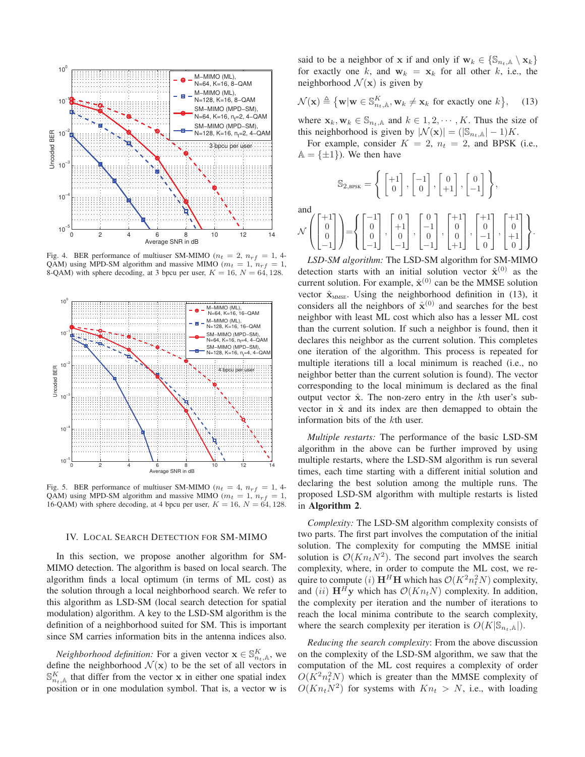

Fig. 4. BER performance of multiuser SM-MIMO ( $n_t = 2$ ,  $n_{rf} = 1$ , 4-QAM) using MPD-SM algorithm and massive MIMO ( $m_t = 1$ ,  $n_{rf} = 1$ , 8-QAM) with sphere decoding, at 3 bpcu per user,  $K = 16$ ,  $N = 64$ , 128.



Fig. 5. BER performance of multiuser SM-MIMO ( $n_t = 4$ ,  $n_{rf} = 1$ , 4-QAM) using MPD-SM algorithm and massive MIMO ( $m_t = 1$ ,  $n_{rf} = 1$ , 16-QAM) with sphere decoding, at 4 bpcu per user,  $K = 16$ ,  $N = 64$ , 128.

### IV. LOCAL SEARCH DETECTION FOR SM-MIMO

In this section, we propose another algorithm for SM-MIMO detection. The algorithm is based on local search. The algorithm finds a local optimum (in terms of ML cost) as the solution through a local neighborhood search. We refer to this algorithm as LSD-SM (local search detection for spatial modulation) algorithm. A key to the LSD-SM algorithm is the definition of a neighborhood suited for SM. This is important since SM carries information bits in the antenna indices also.

*Neighborhood definition:* For a given vector  $\mathbf{x} \in \mathbb{S}_{n_t,\mathbb{A}}^K$ , we fine the neighborhood  $\mathcal{N}(\mathbf{x})$  to be the set of all vectors in define the neighborhood  $\mathcal{N}(\mathbf{x})$  to be the set of all vectors in  $\mathbb{S}_{n_t,\mathbb{A}}^K$  that differ from the vector **x** in either one spatial index<br>nosition or in one modulation symbol. That is a vector **w** is position or in one modulation symbol. That is, a vector **w** is said to be a neighbor of **x** if and only if  $\mathbf{w}_k \in \{S_{n_k, \mathbb{A}} \setminus \mathbf{x}_k\}$ for exactly one k, and  $w_k = x_k$  for all other k, i.e., the neighborhood  $\mathcal{N}(\mathbf{x})$  is given by

$$
\mathcal{N}(\mathbf{x}) \triangleq \{ \mathbf{w} | \mathbf{w} \in \mathbb{S}_{n_t,\mathbb{A}}^K, \mathbf{w}_k \neq \mathbf{x}_k \text{ for exactly one } k \}, \quad (13)
$$

where  $\mathbf{x}_k, \mathbf{w}_k \in \mathbb{S}_{n_t, \mathbb{A}}$  and  $k \in 1, 2, \cdots, K$ . Thus the size of this neighborhood is given by  $|\mathcal{N}(\mathbf{x})| = (|\mathbb{S}_{n_t,\mathbb{A}}| - 1)K$ .

For example, consider  $K = 2$ ,  $n_t = 2$ , and BPSK (i.e.,  $A = \{\pm 1\}$ . We then have

$$
\mathbb{S}_{2,\text{BPSK}} = \left\{ \begin{bmatrix} +1 \\ 0 \end{bmatrix}, \begin{bmatrix} -1 \\ 0 \end{bmatrix}, \begin{bmatrix} 0 \\ +1 \end{bmatrix}, \begin{bmatrix} 0 \\ -1 \end{bmatrix} \right\},
$$

and

$$
\mathcal{N}\left(\begin{bmatrix} +1\\0\\0\\-1 \end{bmatrix}\right) = \left\{ \begin{bmatrix} -1\\0\\0\\-1 \end{bmatrix}, \begin{bmatrix} 0\\+1\\0\\-1 \end{bmatrix}, \begin{bmatrix} 0\\-1\\0\\-1 \end{bmatrix}, \begin{bmatrix} +1\\0\\0\\+1 \end{bmatrix}, \begin{bmatrix} +1\\0\\0\\-1 \end{bmatrix}, \begin{bmatrix} +1\\0\\0\\1 \end{bmatrix} \right\}.
$$

*LSD-SM algorithm:* The LSD-SM algorithm for SM-MIMO detection starts with an initial solution vector  $\hat{\mathbf{x}}^{(0)}$  as the current solution. For example,  $\hat{\mathbf{x}}^{(0)}$  can be the MMSE solution vector  $\hat{\mathbf{x}}_{MMSE}$ . Using the neighborhood definition in (13), it considers all the neighbors of  $\hat{\mathbf{x}}^{(0)}$  and searches for the best neighbor with least ML cost which also has a lesser ML cost than the current solution. If such a neighbor is found, then it declares this neighbor as the current solution. This completes one iteration of the algorithm. This process is repeated for multiple iterations till a local minimum is reached (i.e., no neighbor better than the current solution is found). The vector corresponding to the local minimum is declared as the final output vector  $\hat{x}$ . The non-zero entry in the kth user's subvector in  $\hat{x}$  and its index are then demapped to obtain the information bits of the kth user.

*Multiple restarts:* The performance of the basic LSD-SM algorithm in the above can be further improved by using multiple restarts, where the LSD-SM algorithm is run several times, each time starting with a different initial solution and declaring the best solution among the multiple runs. The proposed LSD-SM algorithm with multiple restarts is listed in Algorithm 2.

*Complexity:* The LSD-SM algorithm complexity consists of two parts. The first part involves the computation of the initial solution. The complexity for computing the MMSE initial solution is  $\mathcal{O}(Kn_tN^2)$ . The second part involves the search complexity, where, in order to compute the ML cost, we require to compute (i)  $\mathbf{H}^H \mathbf{H}$  which has  $\mathcal{O}(K^2 n_t^2 N)$  complexity, and (ii)  $\mathbf{H}^H \mathbf{v}$  which has  $\mathcal{O}(K n_r N)$  complexity. In addition and (ii)  $\mathbf{H}^H\mathbf{y}$  which has  $\mathcal{O}(Kn_tN)$  complexity. In addition, the complexity per iteration and the number of iterations to reach the local minima contribute to the search complexity, where the search complexity per iteration is  $O(K|\mathbb{S}_{n_t,\mathbb{A}}|)$ .

*Reducing the search complexity*: From the above discussion on the complexity of the LSD-SM algorithm, we saw that the computation of the ML cost requires a complexity of order  $O(K^2n_t^2N)$  which is greater than the MMSE complexity of  $O(Kn_t^2N_t^2)$  for systems with  $Kn_t \geq N$  i.e., with loading  $O(Kn_tN^2)$  for systems with  $Kn_t > N$ , i.e., with loading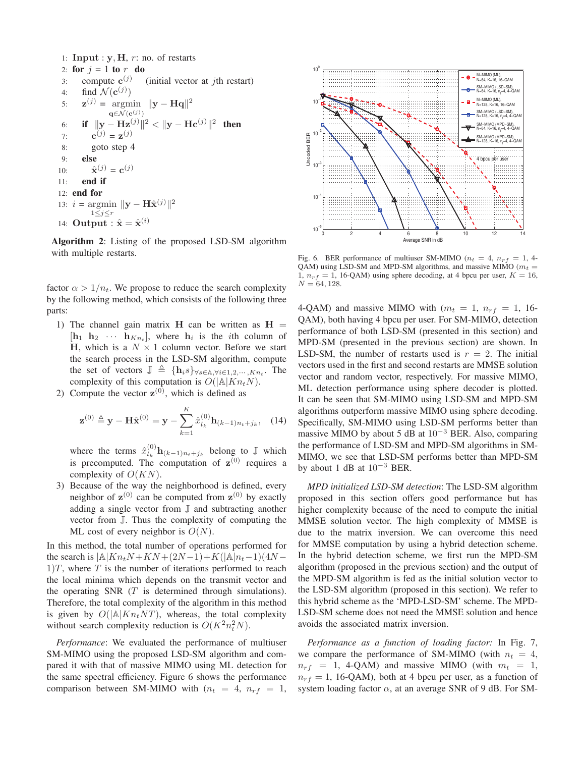1: **Input** :  $y$ ,  $H$ ,  $r$ : no. of restarts 2: for  $j = 1$  to  $r$  do<br>3: compute  $c^{(j)}$ 3: compute  $\mathbf{c}^{(j)}$  (initial vector at *j*th restart)<br>4: find  $\mathcal{N}(\mathbf{c}^{(j)})$ 4: find  $\mathcal{N}(\mathbf{c}^{(j)})$ <br>5:  $\mathbf{z}^{(j)} = \text{argmin}$ 5:  $\mathbf{z}^{(j)} = \operatorname*{argmin}_{\mathbf{q} \in \mathcal{N}(\mathbf{c}^{(j)})} ||\mathbf{y} - \mathbf{H}\mathbf{q}||^2$ **q**∈ $\mathcal{N}$ (**c**<sup>(j)</sup>) 6: **if**  $\|\mathbf{y} - \mathbf{Hz}^{(j)}\|^2 < \|\mathbf{y} - \mathbf{Hc}^{(j)}\|^2$  then 7: **c**(*j*) = **z**(*j*) 8: goto step 4 9: else 10:  $\hat{\mathbf{x}}^{(j)} = \mathbf{c}^{(j)}$ <br>11: **end if** end if 12: end for 13:  $i = \operatorname*{argmin}_{1 \leq j \leq r} \|y - \mathbf{H}\hat{\mathbf{x}}^{(j)}\|^2$  $1\leq j \leq r$ 14: **Output** :  $\hat{x} = \hat{x}^{(i)}$ 

Algorithm 2: Listing of the proposed LSD-SM algorithm with multiple restarts.

factor  $\alpha > 1/n_t$ . We propose to reduce the search complexity by the following method, which consists of the following three parts:

- 1) The channel gain matrix **H** can be written as  $H =$  $[\mathbf{h}_1 \ \mathbf{h}_2 \ \cdots \ \mathbf{h}_{Kn_t}],$  where  $\mathbf{h}_i$  is the *i*th column of **H**, which is a  $N \times 1$  column vector. Before we start the search process in the LSD-SM algorithm, compute the set of vectors  $\mathbb{J} \triangleq \{ \mathbf{h}_i s \} \forall s \in \mathbb{A}, \forall i \in 1, 2, \dots, K_{n_t}$ . The complexity of this computation is  $O(|\mathbb{A}|K_{n,N})$ . complexity of this computation is  $O(|A|Kn_tN)$ .
- 2) Compute the vector  $z^{(0)}$ , which is defined as

$$
\mathbf{z}^{(0)} \triangleq \mathbf{y} - \mathbf{H}\hat{\mathbf{x}}^{(0)} = \mathbf{y} - \sum_{k=1}^{K} \hat{x}_{l_k}^{(0)} \mathbf{h}_{(k-1)n_t + j_k}, \quad (14)
$$

where the terms  $\hat{x}_{k}^{(0)} \mathbf{h}_{(k-1)n_t+j_k}$  belong to J which is precomputed. The computation of  $z^{(0)}$  requires a complexity of  $O(KN)$ .

3) Because of the way the neighborhood is defined, every neighbor of  $z^{(0)}$  can be computed from  $z^{(0)}$  by exactly adding a single vector from J and subtracting another vector from J. Thus the complexity of computing the ML cost of every neighbor is  $O(N)$ .

In this method, the total number of operations performed for the search is  $|A|Kn_tN + KN + (2N-1) + K(|A|n_t-1)(4N 1/T$ , where T is the number of iterations performed to reach the local minima which depends on the transmit vector and the operating SNR  $(T$  is determined through simulations). Therefore, the total complexity of the algorithm in this method is given by  $O(|A|Kn_tNT)$ , whereas, the total complexity without search complexity reduction is  $O(K^2 n_t^2 N)$ .

*Performance*: We evaluated the performance of multiuser SM-MIMO using the proposed LSD-SM algorithm and compared it with that of massive MIMO using ML detection for the same spectral efficiency. Figure 6 shows the performance comparison between SM-MIMO with  $(n_t = 4, n_{rf} = 1,$ 



Fig. 6. BER performance of multiuser SM-MIMO ( $n_t = 4$ ,  $n_{rf} = 1$ , 4-QAM) using LSD-SM and MPD-SM algorithms, and massive MIMO ( $m_t$  = 1,  $n_{rf} = 1$ , 16-QAM) using sphere decoding, at 4 bpcu per user,  $K = 16$ ,  $N = 64, 128.$ 

4-QAM) and massive MIMO with  $(m_t = 1, n_{rf} = 1, 16$ -QAM), both having 4 bpcu per user. For SM-MIMO, detection performance of both LSD-SM (presented in this section) and MPD-SM (presented in the previous section) are shown. In LSD-SM, the number of restarts used is  $r = 2$ . The initial vectors used in the first and second restarts are MMSE solution vector and random vector, respectively. For massive MIMO, ML detection performance using sphere decoder is plotted. It can be seen that SM-MIMO using LSD-SM and MPD-SM algorithms outperform massive MIMO using sphere decoding. Specifically, SM-MIMO using LSD-SM performs better than massive MIMO by about 5 dB at  $10^{-3}$  BER. Also, comparing the performance of LSD-SM and MPD-SM algorithms in SM-MIMO, we see that LSD-SM performs better than MPD-SM by about 1 dB at  $10^{-3}$  BER.

*MPD initialized LSD-SM detection*: The LSD-SM algorithm proposed in this section offers good performance but has higher complexity because of the need to compute the initial MMSE solution vector. The high complexity of MMSE is due to the matrix inversion. We can overcome this need for MMSE computation by using a hybrid detection scheme. In the hybrid detection scheme, we first run the MPD-SM algorithm (proposed in the previous section) and the output of the MPD-SM algorithm is fed as the initial solution vector to the LSD-SM algorithm (proposed in this section). We refer to this hybrid scheme as the 'MPD-LSD-SM' scheme. The MPD-LSD-SM scheme does not need the MMSE solution and hence avoids the associated matrix inversion.

*Performance as a function of loading factor:* In Fig. 7, we compare the performance of SM-MIMO (with  $n_t = 4$ ,  $n_{rf}$  = 1, 4-QAM) and massive MIMO (with  $m_t = 1$ ,  $n_{rf} = 1$ , 16-QAM), both at 4 bpcu per user, as a function of system loading factor  $\alpha$ , at an average SNR of 9 dB. For SM-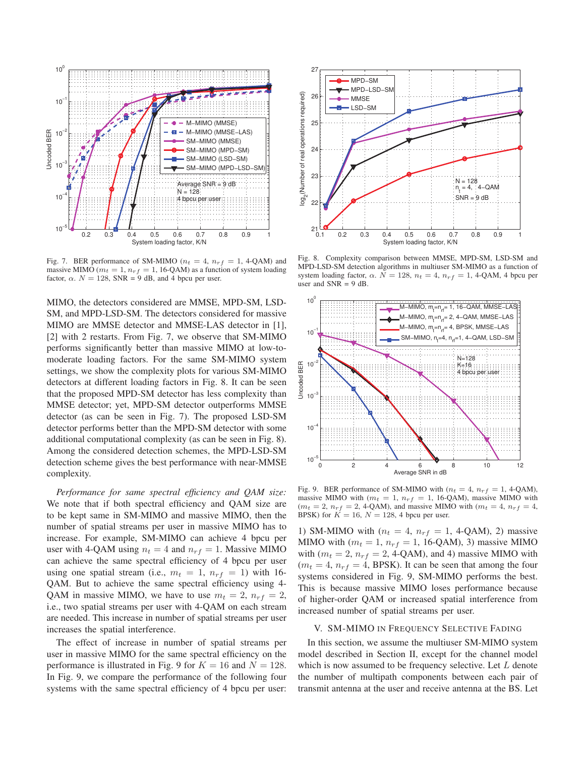

Fig. 7. BER performance of SM-MIMO ( $n_t = 4$ ,  $n_{rf} = 1$ , 4-QAM) and massive MIMO ( $m_t = 1$ ,  $n_{rf} = 1$ , 16-QAM) as a function of system loading factor,  $\alpha$ .  $N = 128$ , SNR = 9 dB, and 4 bpcu per user.

MIMO, the detectors considered are MMSE, MPD-SM, LSD-SM, and MPD-LSD-SM. The detectors considered for massive MIMO are MMSE detector and MMSE-LAS detector in [1], [2] with 2 restarts. From Fig. 7, we observe that SM-MIMO performs significantly better than massive MIMO at low-tomoderate loading factors. For the same SM-MIMO system settings, we show the complexity plots for various SM-MIMO detectors at different loading factors in Fig. 8. It can be seen that the proposed MPD-SM detector has less complexity than MMSE detector; yet, MPD-SM detector outperforms MMSE detector (as can be seen in Fig. 7). The proposed LSD-SM detector performs better than the MPD-SM detector with some additional computational complexity (as can be seen in Fig. 8). Among the considered detection schemes, the MPD-LSD-SM detection scheme gives the best performance with near-MMSE complexity.

*Performance for same spectral efficiency and QAM size:* We note that if both spectral efficiency and QAM size are to be kept same in SM-MIMO and massive MIMO, then the number of spatial streams per user in massive MIMO has to increase. For example, SM-MIMO can achieve 4 bpcu per user with 4-QAM using  $n_t = 4$  and  $n_{rf} = 1$ . Massive MIMO can achieve the same spectral efficiency of 4 bpcu per user using one spatial stream (i.e.,  $m_t = 1$ ,  $n_{rf} = 1$ ) with 16-QAM. But to achieve the same spectral efficiency using 4- QAM in massive MIMO, we have to use  $m_t = 2$ ,  $n_{rf} = 2$ , i.e., two spatial streams per user with 4-QAM on each stream are needed. This increase in number of spatial streams per user increases the spatial interference.

The effect of increase in number of spatial streams per user in massive MIMO for the same spectral efficiency on the performance is illustrated in Fig. 9 for  $K = 16$  and  $N = 128$ . In Fig. 9, we compare the performance of the following four systems with the same spectral efficiency of 4 bpcu per user:



Fig. 8. Complexity comparison between MMSE, MPD-SM, LSD-SM and MPD-LSD-SM detection algorithms in multiuser SM-MIMO as a function of system loading factor,  $\alpha$ .  $N = 128$ ,  $n_t = 4$ ,  $n_{rf} = 1$ , 4-QAM, 4 bpcu per user and  $SNR = 9$  dB



Fig. 9. BER performance of SM-MIMO with  $(n_t = 4, n_{rf} = 1, 4\text{-QAM})$ , massive MIMO with ( $m_t = 1$ ,  $n_{rf} = 1$ , 16-QAM), massive MIMO with  $(m_t = 2, n_{rf} = 2, 4$ -QAM), and massive MIMO with  $(m_t = 4, n_{rf} = 4,$ BPSK) for  $K = 16$ ,  $N = 128$ , 4 bpcu per user.

1) SM-MIMO with ( $n_t = 4$ ,  $n_{rf} = 1$ , 4-QAM), 2) massive MIMO with  $(m_t = 1, n_{rf} = 1, 16\text{-QAM})$ , 3) massive MIMO with  $(m_t = 2, n_{rf} = 2, 4$ -QAM), and 4) massive MIMO with  $(m_t = 4, n_{rf} = 4, BPSK)$ . It can be seen that among the four systems considered in Fig. 9, SM-MIMO performs the best. This is because massive MIMO loses performance because of higher-order QAM or increased spatial interference from increased number of spatial streams per user.

#### V. SM-MIMO IN FREQUENCY SELECTIVE FADING

In this section, we assume the multiuser SM-MIMO system model described in Section II, except for the channel model which is now assumed to be frequency selective. Let  $L$  denote the number of multipath components between each pair of transmit antenna at the user and receive antenna at the BS. Let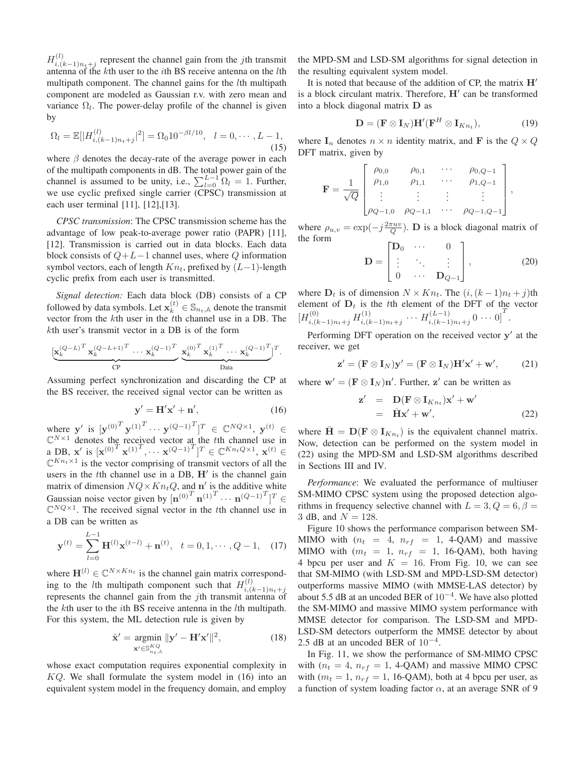$H_{i,(k-1)n_t+j}^{(l)}$  represent the channel gain from the *j*th transmit<br>antenna of the *k*th user to the *i*th BS receive antenna on the *l*th antenna of the kth user to the ith BS receive antenna on the lth multipath component. The channel gains for the *l*th multipath component are modeled as Gaussian r.v. with zero mean and variance  $\Omega_l$ . The power-delay profile of the channel is given by

$$
\Omega_l = \mathbb{E}[|H_{i,(k-1)n_t+j}^{(l)}|^2] = \Omega_0 10^{-\beta l/10}, \quad l = 0, \cdots, L-1,
$$
\n(15)

where  $\beta$  denotes the decay-rate of the average power in each of the multipath components in dB. The total power gain of the channel is assumed to be unity, i.e.,  $\sum_{l=0}^{L-1} \Omega_l = 1$ . Further, we use cyclic prefixed single carrier (CPSC) transmission at each user terminal [11], [12],[13].

*CPSC transmission*: The CPSC transmission scheme has the advantage of low peak-to-average power ratio (PAPR) [11], [12]. Transmission is carried out in data blocks. Each data block consists of  $Q+L-1$  channel uses, where  $Q$  information symbol vectors, each of length  $Kn_t$ , prefixed by  $(L-1)$ -length cyclic prefix from each user is transmitted.

*Signal detection:* Each data block (DB) consists of a CP followed by data symbols. Let  $\mathbf{x}_k^{(t)} \in \mathbb{S}_{n_t,\mathbb{A}}$  denote the transmit vector from the *k*<sup>th</sup> user in the *t*<sup>th</sup> channel use in a DB. The vector from the kth user in the tth channel use in a DB. The kth user's transmit vector in a DB is of the form

$$
\underbrace{[\mathbf{x}_{k}^{(Q-L)^{T}} \mathbf{x}_{k}^{(Q-L+1)^{T}} \cdots \mathbf{x}_{k}^{(Q-1)^{T}}}_{\text{CP}} \underbrace{\mathbf{x}_{k}^{(0)^{T}} \mathbf{x}_{k}^{(1)^{T}} \cdots \mathbf{x}_{k}^{(Q-1)^{T}}}_{\text{Data}}]^T.
$$

Assuming perfect synchronization and discarding the CP at the BS receiver, the received signal vector can be written as

$$
\mathbf{y}' = \mathbf{H}'\mathbf{x}' + \mathbf{n}',\tag{16}
$$

where **y** is  $[\mathbf{y}^{(0)}]^{T} \mathbf{y}^{(1)^{T}} \cdots \mathbf{y}^{(Q-1)^{T}}]^{T} \in \mathbb{C}^{NQ \times 1}$ ,  $\mathbf{y}^{(t)} \in \mathbb{C}^{N \times 1}$  denotes the received vector at the the channel use in  $\mathbb{C}^{N\times 1}$  denotes the received vector at the tth channel use in<br>a DB  $\mathbf{x}'$  is  $[\mathbf{x}^{(0)}]^T \mathbf{x}^{(1)}]^T$   $\cdots$   $\mathbf{x}^{(Q-1)}^T]^T \in \mathbb{C}^{Kn_tQ\times 1}$   $\mathbf{x}^{(t)} \in$ a DB,  $\mathbf{x}'$  is  $[\mathbf{x}^{(0)} \mathbf{x}^{(1)}], \dots, \mathbf{x}^{(Q-1)}]^{T} \in \mathbb{C}^{Kn_t Q \times 1}, \mathbf{x}^{(t)} \in \mathbb{C}^{Kn_t \times 1}$  is the vector comprising of transmit vectors of all the  $\mathbb{C}^{Kn_t\times 1}$  is the vector comprising of transmit vectors of all the users in the  $t$ th channel use in a DB,  $H'$  is the channel gain matrix of dimension  $NQ \times Kn_tQ$ , and **n'** is the additive white Gaussian noise vector given by  $\left[\mathbf{n}^{(0)}\right]^T \mathbf{n}^{(1)T} \cdots \mathbf{n}^{(Q-1)T} \right]^T \in \mathbb{C}^{NQ \times 1}$  The received signal vector in the *t*th channel use in  $\mathbb{C}^{NQ\times1}$ . The received signal vector in the *t*th channel use in a DB can be written as

$$
\mathbf{y}^{(t)} = \sum_{l=0}^{L-1} \mathbf{H}^{(l)} \mathbf{x}^{(t-l)} + \mathbf{n}^{(t)}, \quad t = 0, 1, \cdots, Q-1,
$$
 (17)

where  $\mathbf{H}^{(l)} \in \mathbb{C}^{N \times Kn_t}$  is the channel gain matrix corresponding to the *l*th multipath component such that  $H_{i,(k-1)n+1}^{(l)}$ ing to the *i*th manipalit component such that  $H_{i,(k-1)n_t+j}$ <br>represents the channel gain from the *j*th transmit antenna of<br>the *k*th user to the *i*th RS receive antenna in the *l*th multinath the kth user to the ith BS receive antenna in the lth multipath. For this system, the ML detection rule is given by

$$
\hat{\mathbf{x}}' = \underset{\mathbf{x}' \in \mathbb{S}_{n_t,\mathbb{A}}^{KQ}}{\text{argmin}} \|\mathbf{y}' - \mathbf{H}'\mathbf{x}'\|^2, \tag{18}
$$

whose exact computation requires exponential complexity in  $KQ$ . We shall formulate the system model in (16) into an equivalent system model in the frequency domain, and employ the MPD-SM and LSD-SM algorithms for signal detection in the resulting equivalent system model.

It is noted that because of the addition of CP, the matrix **H** is a block circulant matrix. Therefore, H' can be transformed into a block diagonal matrix **D** as

$$
\mathbf{D} = (\mathbf{F} \otimes \mathbf{I}_N) \mathbf{H}' (\mathbf{F}^H \otimes \mathbf{I}_{Kn_t}), \tag{19}
$$

where  $I_n$  denotes  $n \times n$  identity matrix, and **F** is the  $Q \times Q$ DFT matrix, given by

$$
\mathbf{F} = \frac{1}{\sqrt{Q}} \begin{bmatrix} \rho_{0,0} & \rho_{0,1} & \cdots & \rho_{0,Q-1} \\ \rho_{1,0} & \rho_{1,1} & \cdots & \rho_{1,Q-1} \\ \vdots & \vdots & \vdots & \vdots \\ \rho_{Q-1,0} & \rho_{Q-1,1} & \cdots & \rho_{Q-1,Q-1} \end{bmatrix},
$$

where  $\rho_{u,v} = \exp(-j\frac{2\pi uv}{Q})$ . **D** is a block diagonal matrix of the form the form

$$
\mathbf{D} = \begin{bmatrix} \mathbf{D}_0 & \cdots & 0 \\ \vdots & \ddots & \vdots \\ 0 & \cdots & \mathbf{D}_{Q-1} \end{bmatrix}, \tag{20}
$$

where  $D_t$  is of dimension  $N \times Kn_t$ . The  $(i, (k-1)n_t + j)$ th element of  $D_t$  is the tth element of the DFT of the vector  $[H_{i,(k-1)n_t+j}^{(0)} H_{i,(k-1)n_t+j}^{(1)} \cdots H_{i,(k-1)n_t+j}^{(L-1)} 0 \cdots 0]^T$ .

Performing DFT operation on the received vector  $y'$  at the receiver, we get

$$
\mathbf{z}' = (\mathbf{F} \otimes \mathbf{I}_N)\mathbf{y}' = (\mathbf{F} \otimes \mathbf{I}_N)\mathbf{H}'\mathbf{x}' + \mathbf{w}',\tag{21}
$$

where  $\mathbf{w}' = (\mathbf{F} \otimes \mathbf{I}_N)\mathbf{n}'$ . Further,  $\mathbf{z}'$  can be written as

$$
\mathbf{z}' = \mathbf{D}(\mathbf{F} \otimes \mathbf{I}_{Kn_t})\mathbf{x}' + \mathbf{w}'
$$
  
=  $\mathbf{H}\mathbf{x}' + \mathbf{w}'$ , (22)

where  $\bar{\mathbf{H}} = \mathbf{D}(\mathbf{F} \otimes \mathbf{I}_{Kn_t})$  is the equivalent channel matrix. Now, detection can be performed on the system model in (22) using the MPD-SM and LSD-SM algorithms described in Sections III and IV.

*Performance*: We evaluated the performance of multiuser SM-MIMO CPSC system using the proposed detection algorithms in frequency selective channel with  $L = 3, Q = 6, \beta = 1$ 3 dB, and  $N = 128$ .

Figure 10 shows the performance comparison between SM-MIMO with  $(n_t = 4, n_{rf} = 1, 4\text{-QAM})$  and massive MIMO with  $(m_t = 1, n_{rf} = 1, 16\text{-QAM})$ , both having 4 bpcu per user and  $K = 16$ . From Fig. 10, we can see that SM-MIMO (with LSD-SM and MPD-LSD-SM detector) outperforms massive MIMO (with MMSE-LAS detector) by about 5.5 dB at an uncoded BER of 10<sup>−</sup><sup>4</sup>. We have also plotted the SM-MIMO and massive MIMO system performance with MMSE detector for comparison. The LSD-SM and MPD-LSD-SM detectors outperform the MMSE detector by about 2.5 dB at an uncoded BER of  $10^{-4}$ .

In Fig. 11, we show the performance of SM-MIMO CPSC with ( $n_t = 4$ ,  $n_{rf} = 1$ , 4-QAM) and massive MIMO CPSC with ( $m_t = 1$ ,  $n_{rf} = 1$ , 16-QAM), both at 4 bpcu per user, as a function of system loading factor  $\alpha$ , at an average SNR of 9